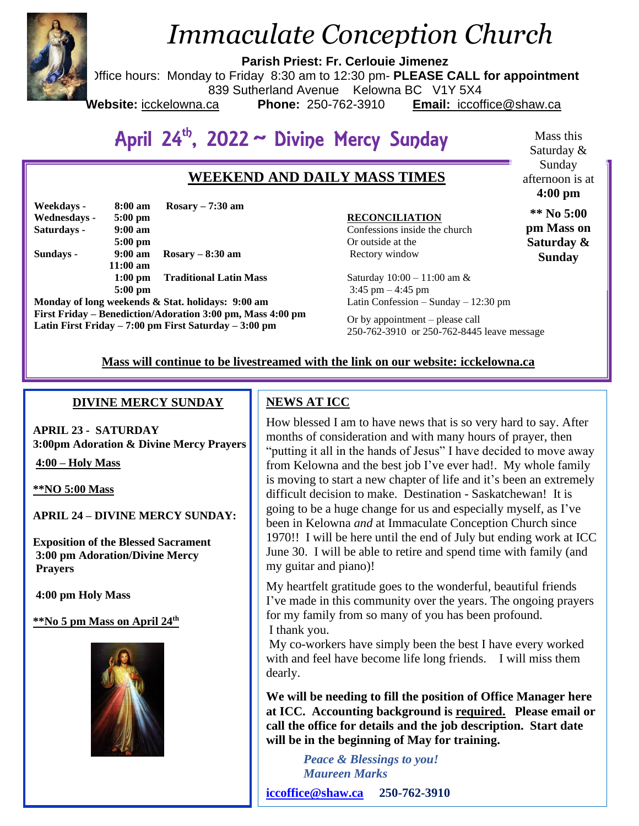

# *Immaculate Conception Church*

**Parish Priest: Fr. Cerlouie Jimenez**

Office hours: Monday to Friday 8:30 am to 12:30 pm- **PLEASE CALL for appointment**

839 Sutherland Avenue Kelowna BC V1Y 5X4

**Website:** icckelowna.ca **Phone:** 250-762-3910 **Email:** iccoffice@shaw.ca

# April 24<sup>th</sup>, 2022 ~ Divine Mercy Sunday

## **WEEKEND AND DAILY MASS TIMES**

| Weekdays -   | 8:00 am           | Rosary $-7:30$ am             |
|--------------|-------------------|-------------------------------|
| Wednesdays - | $5:00 \text{ pm}$ |                               |
| Saturdays -  | $9:00 \text{ am}$ |                               |
|              | $5:00$ pm         |                               |
| Sundays -    | $9:00 \text{ am}$ | $Rosarv - 8:30$ am            |
|              | $11:00$ am        |                               |
|              | $1:00$ pm         | <b>Traditional Latin Mass</b> |
|              | $5:00$ pm         |                               |

**Monday of long weekends & Stat. holidays: 9:00 am First Friday – Benediction/Adoration 3:00 pm, Mass 4:00 pm Latin First Friday – 7:00 pm First Saturday – 3:00 pm** 

#### **RECONCILIATION**

Confessions inside the church Or outside at the Rectory window

Mass this Saturday & Sunday afternoon is at **4:00 pm**

**\*\* No 5:00 pm Mass on Saturday & Sunday**

Saturday 10:00 – 11:00 am &  $3:45 \text{ pm} - 4:45 \text{ pm}$ Latin Confession – Sunday – 12:30 pm

Or by appointment – please call 250-762-3910 or 250-762-8445 leave message

## **Mass will continue to be livestreamed with the link on our website: icckelowna.ca**

## **DIVINE MERCY SUNDAY**

**APRIL 23 - SATURDAY 3:00pm Adoration & Divine Mercy Prayers**

**4:00 – Holy Mass** 

**\*\*NO 5:00 Mass**

**APRIL 24 – DIVINE MERCY SUNDAY:**

**Exposition of the Blessed Sacrament 3:00 pm Adoration/Divine Mercy Prayers** 

**4:00 pm Holy Mass** 

**\*\*No 5 pm Mass on April 24th**



## **NEWS AT ICC**

How blessed I am to have news that is so very hard to say. After months of consideration and with many hours of prayer, then "putting it all in the hands of Jesus" I have decided to move away from Kelowna and the best job I've ever had!. My whole family is moving to start a new chapter of life and it's been an extremely difficult decision to make. Destination - Saskatchewan! It is going to be a huge change for us and especially myself, as I've been in Kelowna *and* at Immaculate Conception Church since 1970!! I will be here until the end of July but ending work at ICC June 30. I will be able to retire and spend time with family (and my guitar and piano)!

My heartfelt gratitude goes to the wonderful, beautiful friends I've made in this community over the years. The ongoing prayers for my family from so many of you has been profound. I thank you.

My co-workers have simply been the best I have every worked with and feel have become life long friends. I will miss them dearly.

**We will be needing to fill the position of Office Manager here at ICC. Accounting background is required. Please email or call the office for details and the job description. Start date will be in the beginning of May for training.**

> *Peace & Blessings to you! Maureen Marks*

**[iccoffice@shaw.ca](mailto:iccoffice@shaw.ca) 250-762-3910**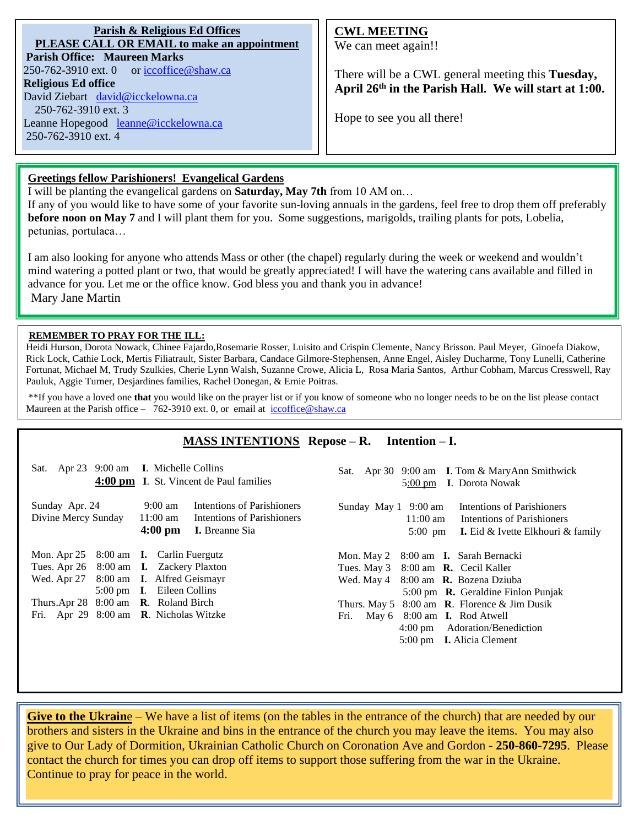**Parish & Religious Ed Offices PLEASE CALL OR EMAIL to make an appointment Parish Office: Maureen Marks**  250-762-3910 ext. 0 or [iccoffice@shaw.ca](mailto:iccoffice@shaw.ca) **Religious Ed office** David Ziebart [david@icckelowna.ca](mailto:david@icckelowna.ca)  250-762-3910 ext. 3 Leanne Hopegood [leanne@icckelowna.ca](mailto:leanne@icckelowna.ca) 250-762-3910 ext. 4

## **CWL MEETING**

We can meet again!!

There will be a CWL general meeting this **Tuesday, April 26th in the Parish Hall. We will start at 1:00.**

Hope to see you all there!

## **Greetings fellow Parishioners! Evangelical Gardens**

I will be planting the evangelical gardens on **Saturday, May 7th** from 10 AM on…

If any of you would like to have some of your favorite sun-loving annuals in the gardens, feel free to drop them off preferably **before noon on May 7** and I will plant them for you. Some suggestions, marigolds, trailing plants for pots, Lobelia, petunias, portulaca…

I am also looking for anyone who attends Mass or other (the chapel) regularly during the week or weekend and wouldn't mind watering a potted plant or two, that would be greatly appreciated! I will have the watering cans available and filled in advance for you. Let me or the office know. God bless you and thank you in advance! Mary Jane Martin

#### **REMEMBER TO PRAY FOR THE ILL:**

l

Heidi Hurson, Dorota Nowack, Chinee Fajardo,Rosemarie Rosser, Luisito and Crispin Clemente, Nancy Brisson. Paul Meyer, Ginoefa Diakow, Rick Lock, Cathie Lock, Mertis Filiatrault, Sister Barbara, Candace Gilmore-Stephensen, Anne Engel, Aisley Ducharme, Tony Lunelli, Catherine Fortunat, Michael M, Trudy Szulkies, Cherie Lynn Walsh, Suzanne Crowe, Alicia L, Rosa Maria Santos, Arthur Cobham, Marcus Cresswell, Ray Pauluk, Aggie Turner, Desjardines families, Rachel Donegan, & Ernie Poitras.

\*\*If you have a loved one **that** you would like on the prayer list or if you know of someone who no longer needs to be on the list please contact Maureen at the Parish office – 762-3910 ext. 0, or email at iccoffice@shaw.ca

## **MASS INTENTIONS Repose – R. Intention – I.**

| Sat. Apr 23 9:00 am I. Michelle Collins                                                                                                                                                                                        | 4:00 pm I. St. Vincent de Paul families                                                                                                 | Sat. Apr 30 9:00 am I. Tom & MaryAnn Smithwick<br>5:00 pm I. Dorota Nowak                                                                                                                                                                                                                                                                             |
|--------------------------------------------------------------------------------------------------------------------------------------------------------------------------------------------------------------------------------|-----------------------------------------------------------------------------------------------------------------------------------------|-------------------------------------------------------------------------------------------------------------------------------------------------------------------------------------------------------------------------------------------------------------------------------------------------------------------------------------------------------|
| Sunday Apr. 24<br>Divine Mercy Sunday                                                                                                                                                                                          | Intentions of Parishioners<br>9:00 am<br>Intentions of Parishioners<br>$11:00 \text{ am}$<br>$4:00 \text{ pm}$<br><b>I.</b> Breanne Sia | Intentions of Parishioners<br>Sunday May 1 9:00 am<br>11:00 am Intentions of Parishioners<br>$5:00 \text{ pm}$<br><b>I.</b> Eid $\&$ Ivette Elkhouri $\&$ family                                                                                                                                                                                      |
| Mon. Apr 25 8:00 am <b>I.</b> Carlin Fuergutz<br>Tues. Apr 26 8:00 am I. Zackery Plaxton<br>Wed. Apr 27 8:00 am I. Alfred Geismayr<br>Thurs.Apr $28$ 8:00 am <b>R</b> . Roland Birch<br>Fri. Apr 29 8:00 am R. Nicholas Witzke | 5:00 pm I. Eileen Collins                                                                                                               | Mon. May 2 8:00 am <b>I.</b> Sarah Bernacki<br>Tues. May 3 8:00 am <b>R.</b> Cecil Kaller<br>Wed. May 4 8:00 am R. Bozena Dziuba<br>5:00 pm $\,$ <b>R.</b> Geraldine Finlon Punjak<br>Thurs. May 5 $8:00$ am <b>R</b> . Florence & Jim Dusik<br>Fri. May 6 8:00 am I. Rod Atwell<br>4:00 pm Adoration/Benediction<br>5:00 pm <b>I.</b> Alicia Clement |

**Give to the Ukrain**e – We have a list of items (on the tables in the entrance of the church) that are needed by our brothers and sisters in the Ukraine and bins in the entrance of the church you may leave the items. You may also give to Our Lady of Dormition, Ukrainian Catholic Church on Coronation Ave and Gordon - **250-860-7295**. Please contact the church for times you can drop off items to support those suffering from the war in the Ukraine. Continue to pray for peace in the world.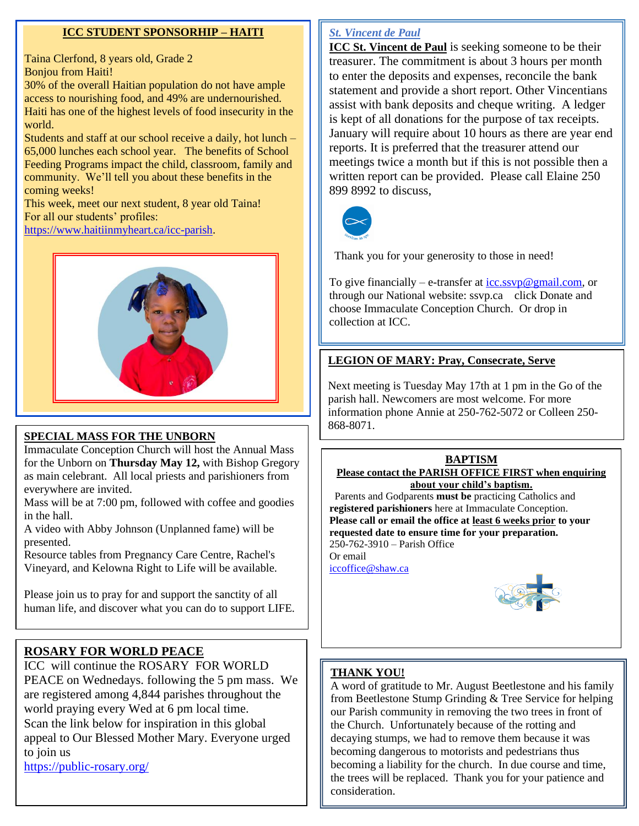## **ICC STUDENT SPONSORHIP – HAITI**

Taina Clerfond, 8 years old, Grade 2 Bonjou from Haiti!

30% of the overall Haitian population do not have ample access to nourishing food, and 49% are undernourished. Haiti has one of the highest levels of food insecurity in the world.

Students and staff at our school receive a daily, hot lunch – 65,000 lunches each school year. The benefits of School Feeding Programs impact the child, classroom, family and community. We'll tell you about these benefits in the coming weeks!

This week, meet our next student, 8 year old Taina! For all our students' profiles:

[https://www.haitiinmyheart.ca/icc-parish.](https://www.haitiinmyheart.ca/icc-parish)



## **SPECIAL MASS FOR THE UNBORN**

Immaculate Conception Church will host the Annual Mass for the Unborn on **Thursday May 12,** with Bishop Gregory as main celebrant. All local priests and parishioners from everywhere are invited.

Mass will be at 7:00 pm, followed with coffee and goodies in the hall.

A video with Abby Johnson (Unplanned fame) will be presented.

Resource tables from Pregnancy Care Centre, Rachel's Vineyard, and Kelowna Right to Life will be available.

Please join us to pray for and support the sanctity of all human life, and discover what you can do to support LIFE.

## **ROSARY FOR WORLD PEACE**

ICC will continue the ROSARY FOR WORLD PEACE on Wednedays. following the 5 pm mass. We are registered among 4,844 parishes throughout the world praying every Wed at 6 pm local time. Scan the link below for inspiration in this global appeal to Our Blessed Mother Mary. Everyone urged to join us

<https://public-rosary.org/>

## *St. Vincent de Paul*

**ICC St. Vincent de Paul** is seeking someone to be their treasurer. The commitment is about 3 hours per month to enter the deposits and expenses, reconcile the bank statement and provide a short report. Other Vincentians assist with bank deposits and cheque writing. A ledger is kept of all donations for the purpose of tax receipts. January will require about 10 hours as there are year end reports. It is preferred that the treasurer attend our meetings twice a month but if this is not possible then a written report can be provided. Please call Elaine 250 899 8992 to discuss,



Thank you for your generosity to those in need!

To give financially – e-transfer at  $\text{icc}.\text{ssvp@gmail.com}$ , or through our National website: ssvp.ca click Donate and choose Immaculate Conception Church. Or drop in collection at ICC.

## **LEGION OF MARY: Pray, Consecrate, Serve**

Next meeting is Tuesday May 17th at 1 pm in the Go of the parish hall. Newcomers are most welcome. For more information phone Annie at 250-762-5072 or Colleen 250- 868-8071.

## **BAPTISM**

**Please contact the PARISH OFFICE FIRST when enquiring about your child's baptism.** 

 Parents and Godparents **must be** practicing Catholics and **registered parishioners** here at Immaculate Conception. **Please call or email the office at least 6 weeks prior to your requested date to ensure time for your preparation.**  250-762-3910 – Parish Office Or email [iccoffice@shaw.ca](mailto:iccoffice@shaw.ca) 



## **THANK YOU!**

A word of gratitude to Mr. August Beetlestone and his family from Beetlestone Stump Grinding & Tree Service for helping our Parish community in removing the two trees in front of the Church. Unfortunately because of the rotting and decaying stumps, we had to remove them because it was becoming dangerous to motorists and pedestrians thus becoming a liability for the church. In due course and time, the trees will be replaced. Thank you for your patience and consideration.